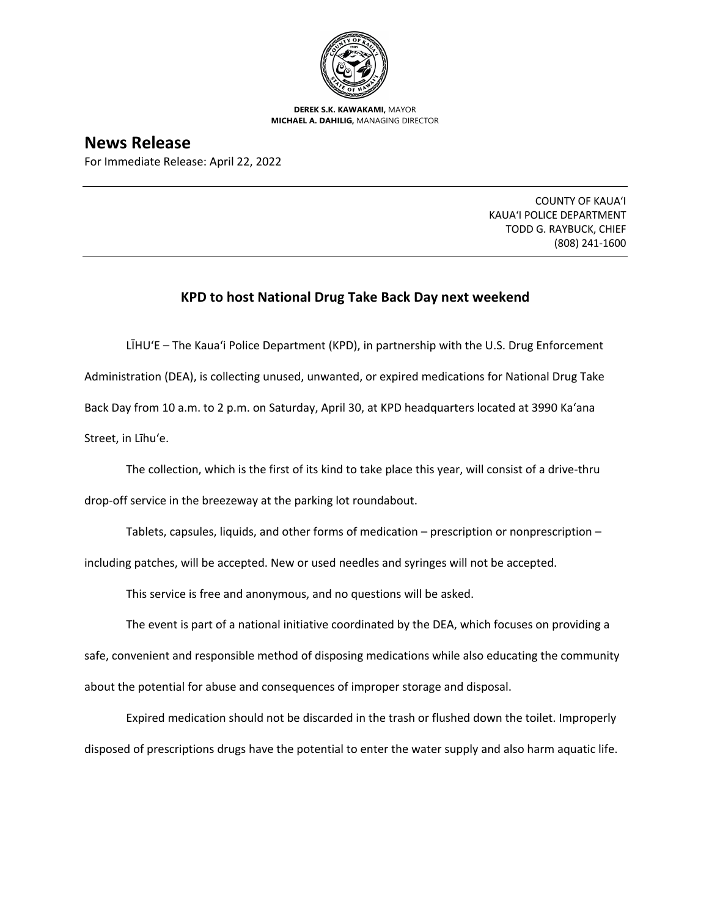

**DEREK S.K. KAWAKAMI,** MAYOR **MICHAEL A. DAHILIG,** MANAGING DIRECTOR

**News Release**

For Immediate Release: April 22, 2022

COUNTY OF KAUA'I KAUA'I POLICE DEPARTMENT TODD G. RAYBUCK, CHIEF (808) 241-1600

## **KPD to host National Drug Take Back Day next weekend**

LĪHU'E – The Kaua'i Police Department (KPD), in partnership with the U.S. Drug Enforcement Administration (DEA), is collecting unused, unwanted, or expired medications for National Drug Take Back Day from 10 a.m. to 2 p.m. on Saturday, April 30, at KPD headquarters located at 3990 Ka'ana Street, in Līhu'e.

The collection, which is the first of its kind to take place this year, will consist of a drive-thru

drop-off service in the breezeway at the parking lot roundabout.

Tablets, capsules, liquids, and other forms of medication – prescription or nonprescription –

including patches, will be accepted. New or used needles and syringes will not be accepted.

This service is free and anonymous, and no questions will be asked.

The event is part of a national initiative coordinated by the DEA, which focuses on providing a safe, convenient and responsible method of disposing medications while also educating the community about the potential for abuse and consequences of improper storage and disposal.

Expired medication should not be discarded in the trash or flushed down the toilet. Improperly disposed of prescriptions drugs have the potential to enter the water supply and also harm aquatic life.